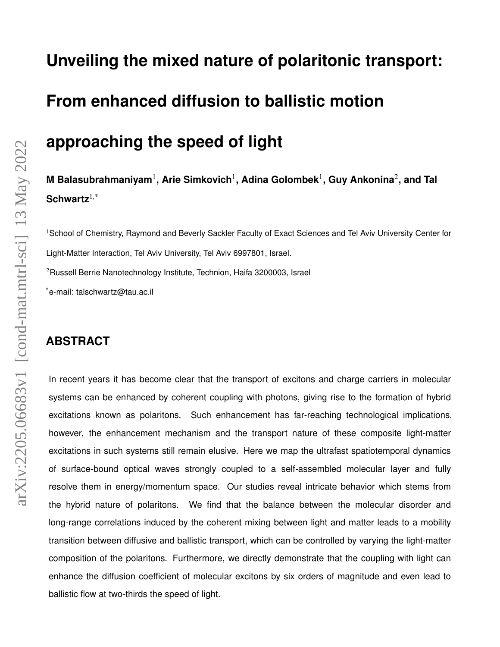# **Unveiling the mixed nature of polaritonic transport: From enhanced diffusion to ballistic motion**

# **approaching the speed of light**

**M Balasubrahmaniyam**<sup>1</sup> **, Arie Simkovich**<sup>1</sup> **, Adina Golombek**<sup>1</sup> **, Guy Ankonina**<sup>2</sup> **, and Tal Schwartz**1,\*

<sup>1</sup>School of Chemistry, Raymond and Beverly Sackler Faculty of Exact Sciences and Tel Aviv University Center for Light-Matter Interaction, Tel Aviv University, Tel Aviv 6997801, Israel.  $2$ Russell Berrie Nanotechnology Institute, Technion, Haifa 3200003, Israel \*e-mail: talschwartz@tau.ac.il

# **ABSTRACT**

In recent years it has become clear that the transport of excitons and charge carriers in molecular systems can be enhanced by coherent coupling with photons, giving rise to the formation of hybrid excitations known as polaritons. Such enhancement has far-reaching technological implications, however, the enhancement mechanism and the transport nature of these composite light-matter excitations in such systems still remain elusive. Here we map the ultrafast spatiotemporal dynamics of surface-bound optical waves strongly coupled to a self-assembled molecular layer and fully resolve them in energy/momentum space. Our studies reveal intricate behavior which stems from the hybrid nature of polaritons. We find that the balance between the molecular disorder and long-range correlations induced by the coherent mixing between light and matter leads to a mobility transition between diffusive and ballistic transport, which can be controlled by varying the light-matter composition of the polaritons. Furthermore, we directly demonstrate that the coupling with light can enhance the diffusion coefficient of molecular excitons by six orders of magnitude and even lead to ballistic flow at two-thirds the speed of light.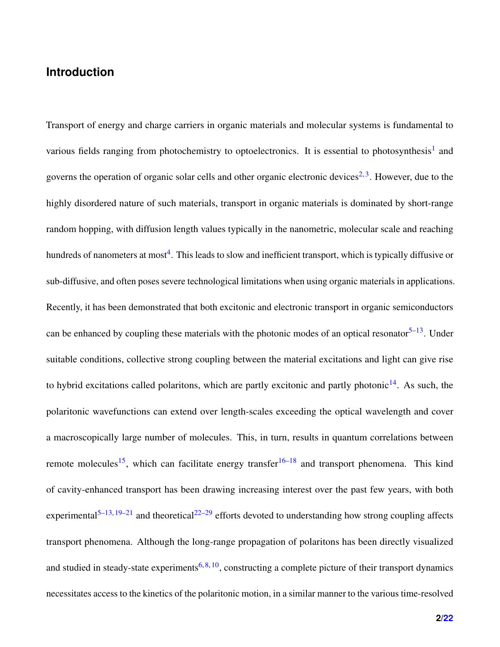## **Introduction**

Transport of energy and charge carriers in organic materials and molecular systems is fundamental to various fields ranging from photochemistry to optoelectronics. It is essential to photosynthesis<sup>[1](#page-17-0)</sup> and governs the operation of organic solar cells and other organic electronic devices<sup>[2,](#page-17-1)[3](#page-17-2)</sup>. However, due to the highly disordered nature of such materials, transport in organic materials is dominated by short-range random hopping, with diffusion length values typically in the nanometric, molecular scale and reaching hundreds of nanometers at most<sup>[4](#page-17-3)</sup>. This leads to slow and inefficient transport, which is typically diffusive or sub-diffusive, and often poses severe technological limitations when using organic materials in applications. Recently, it has been demonstrated that both excitonic and electronic transport in organic semiconductors can be enhanced by coupling these materials with the photonic modes of an optical resonator  $5-13$  $5-13$ . Under suitable conditions, collective strong coupling between the material excitations and light can give rise to hybrid excitations called polaritons, which are partly excitonic and partly photonic $14$ . As such, the polaritonic wavefunctions can extend over length-scales exceeding the optical wavelength and cover a macroscopically large number of molecules. This, in turn, results in quantum correlations between remote molecules<sup>[15](#page-18-2)</sup>, which can facilitate energy transfer<sup>[16](#page-18-3)[–18](#page-18-4)</sup> and transport phenomena. This kind of cavity-enhanced transport has been drawing increasing interest over the past few years, with both experimental<sup>[5](#page-17-4)[–13,](#page-18-0) [19–](#page-19-0)[21](#page-19-1)</sup> and theoretical<sup>[22–](#page-19-2)[29](#page-20-0)</sup> efforts devoted to understanding how strong coupling affects transport phenomena. Although the long-range propagation of polaritons has been directly visualized and studied in steady-state experiments<sup>[6,](#page-17-5) [8,](#page-17-6) [10](#page-18-5)</sup>, constructing a complete picture of their transport dynamics necessitates access to the kinetics of the polaritonic motion, in a similar manner to the various time-resolved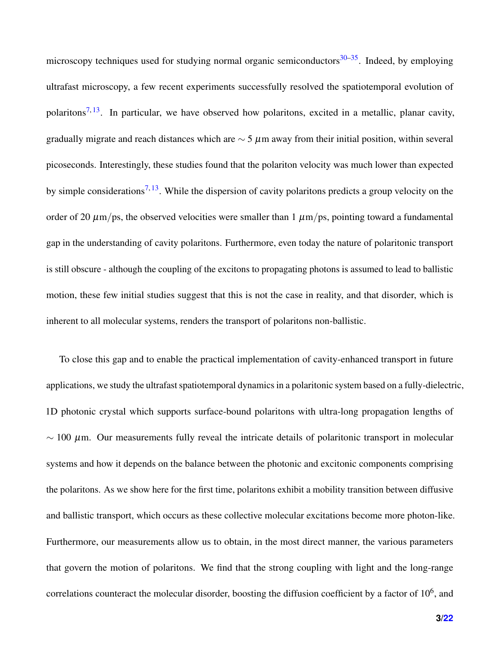microscopy techniques used for studying normal organic semiconductors  $30-35$  $30-35$ . Indeed, by employing ultrafast microscopy, a few recent experiments successfully resolved the spatiotemporal evolution of polaritons<sup>[7,](#page-17-7) [13](#page-18-0)</sup>. In particular, we have observed how polaritons, excited in a metallic, planar cavity, gradually migrate and reach distances which are  $\sim$  5  $\mu$ m away from their initial position, within several picoseconds. Interestingly, these studies found that the polariton velocity was much lower than expected by simple considerations<sup>[7,](#page-17-7) [13](#page-18-0)</sup>. While the dispersion of cavity polaritons predicts a group velocity on the order of 20  $\mu$ m/ps, the observed velocities were smaller than 1  $\mu$ m/ps, pointing toward a fundamental gap in the understanding of cavity polaritons. Furthermore, even today the nature of polaritonic transport is still obscure - although the coupling of the excitons to propagating photons is assumed to lead to ballistic motion, these few initial studies suggest that this is not the case in reality, and that disorder, which is inherent to all molecular systems, renders the transport of polaritons non-ballistic.

To close this gap and to enable the practical implementation of cavity-enhanced transport in future applications, we study the ultrafast spatiotemporal dynamics in a polaritonic system based on a fully-dielectric, 1D photonic crystal which supports surface-bound polaritons with ultra-long propagation lengths of  $\sim$  100  $\mu$ m. Our measurements fully reveal the intricate details of polaritonic transport in molecular systems and how it depends on the balance between the photonic and excitonic components comprising the polaritons. As we show here for the first time, polaritons exhibit a mobility transition between diffusive and ballistic transport, which occurs as these collective molecular excitations become more photon-like. Furthermore, our measurements allow us to obtain, in the most direct manner, the various parameters that govern the motion of polaritons. We find that the strong coupling with light and the long-range correlations counteract the molecular disorder, boosting the diffusion coefficient by a factor of  $10^6$ , and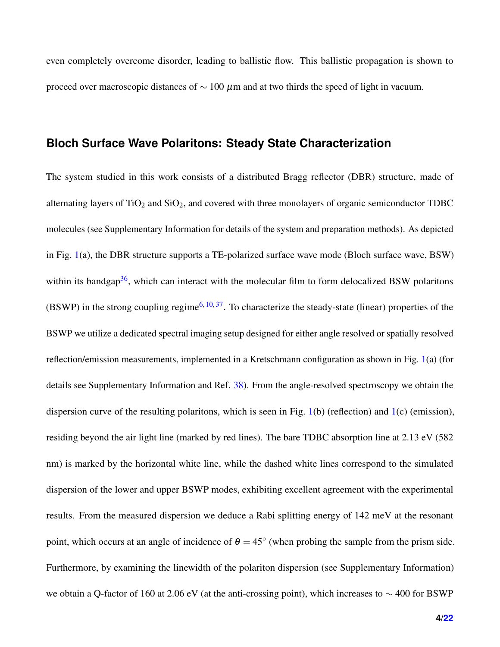even completely overcome disorder, leading to ballistic flow. This ballistic propagation is shown to proceed over macroscopic distances of  $\sim 100 \ \mu m$  and at two thirds the speed of light in vacuum.

#### **Bloch Surface Wave Polaritons: Steady State Characterization**

The system studied in this work consists of a distributed Bragg reflector (DBR) structure, made of alternating layers of  $TiO<sub>2</sub>$  and  $SiO<sub>2</sub>$ , and covered with three monolayers of organic semiconductor TDBC molecules (see Supplementary Information for details of the system and preparation methods). As depicted in Fig. [1\(](#page-5-0)a), the DBR structure supports a TE-polarized surface wave mode (Bloch surface wave, BSW) within its bandgap<sup>[36](#page-20-3)</sup>, which can interact with the molecular film to form delocalized BSW polaritons (BSWP) in the strong coupling regime<sup>[6,](#page-17-5) [10,](#page-18-5) [37](#page-20-4)</sup>. To characterize the steady-state (linear) properties of the BSWP we utilize a dedicated spectral imaging setup designed for either angle resolved or spatially resolved reflection/emission measurements, implemented in a Kretschmann configuration as shown in Fig. [1\(](#page-5-0)a) (for details see Supplementary Information and Ref. [38\)](#page-21-1). From the angle-resolved spectroscopy we obtain the dispersion curve of the resulting polaritons, which is seen in Fig. [1\(](#page-5-0)b) (reflection) and [1\(](#page-5-0)c) (emission), residing beyond the air light line (marked by red lines). The bare TDBC absorption line at 2.13 eV (582 nm) is marked by the horizontal white line, while the dashed white lines correspond to the simulated dispersion of the lower and upper BSWP modes, exhibiting excellent agreement with the experimental results. From the measured dispersion we deduce a Rabi splitting energy of 142 meV at the resonant point, which occurs at an angle of incidence of  $\theta = 45^{\circ}$  (when probing the sample from the prism side. Furthermore, by examining the linewidth of the polariton dispersion (see Supplementary Information) we obtain a Q-factor of 160 at 2.06 eV (at the anti-crossing point), which increases to  $\sim$  400 for BSWP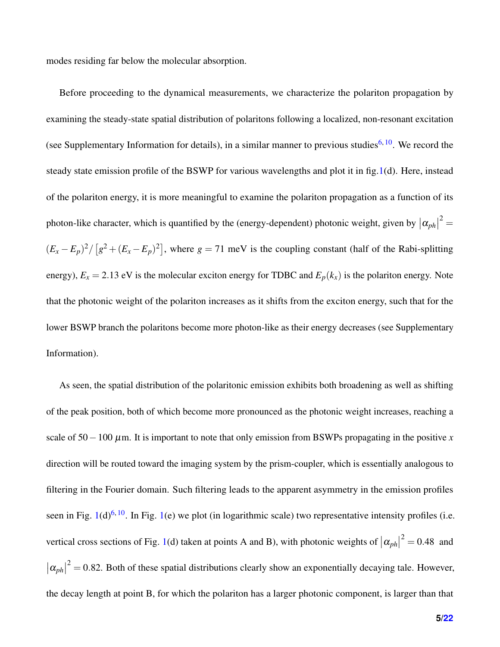modes residing far below the molecular absorption.

Before proceeding to the dynamical measurements, we characterize the polariton propagation by examining the steady-state spatial distribution of polaritons following a localized, non-resonant excitation (see Supplementary Information for details), in a similar manner to previous studies<sup>[6,](#page-17-5) [10](#page-18-5)</sup>. We record the steady state emission profile of the BSWP for various wavelengths and plot it in fig[.1\(](#page-5-0)d). Here, instead of the polariton energy, it is more meaningful to examine the polariton propagation as a function of its photon-like character, which is quantified by the (energy-dependent) photonic weight, given by  $|\alpha_{ph}|^2 =$  $(E_x - E_p)^2 / [g^2 + (E_x - E_p)^2]$ , where  $g = 71$  meV is the coupling constant (half of the Rabi-splitting energy),  $E_x = 2.13$  eV is the molecular exciton energy for TDBC and  $E_p(k_x)$  is the polariton energy. Note that the photonic weight of the polariton increases as it shifts from the exciton energy, such that for the lower BSWP branch the polaritons become more photon-like as their energy decreases (see Supplementary Information).

As seen, the spatial distribution of the polaritonic emission exhibits both broadening as well as shifting of the peak position, both of which become more pronounced as the photonic weight increases, reaching a scale of  $50-100 \mu$ m. It is important to note that only emission from BSWPs propagating in the positive *x* direction will be routed toward the imaging system by the prism-coupler, which is essentially analogous to filtering in the Fourier domain. Such filtering leads to the apparent asymmetry in the emission profiles seen in Fig.  $1(d)^{6, 10}$  $1(d)^{6, 10}$  $1(d)^{6, 10}$  $1(d)^{6, 10}$  $1(d)^{6, 10}$  $1(d)^{6, 10}$ . In Fig. 1(e) we plot (in logarithmic scale) two representative intensity profiles (i.e. vertical cross sections of Fig. [1\(](#page-5-0)d) taken at points A and B), with photonic weights of  $|\alpha_{ph}|^2 = 0.48$  and  $|\alpha_{ph}|^2 = 0.82$ . Both of these spatial distributions clearly show an exponentially decaying tale. However, the decay length at point B, for which the polariton has a larger photonic component, is larger than that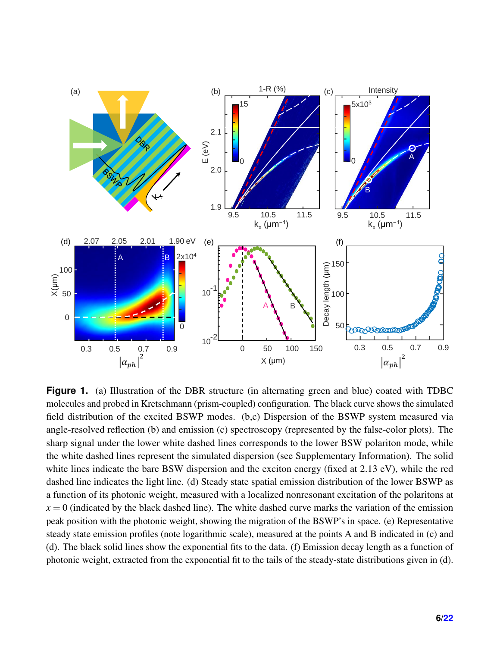<span id="page-5-0"></span>

**Figure 1.** (a) Illustration of the DBR structure (in alternating green and blue) coated with TDBC molecules and probed in Kretschmann (prism-coupled) configuration. The black curve shows the simulated field distribution of the excited BSWP modes. (b,c) Dispersion of the BSWP system measured via angle-resolved reflection (b) and emission (c) spectroscopy (represented by the false-color plots). The sharp signal under the lower white dashed lines corresponds to the lower BSW polariton mode, while the white dashed lines represent the simulated dispersion (see Supplementary Information). The solid white lines indicate the bare BSW dispersion and the exciton energy (fixed at 2.13 eV), while the red dashed line indicates the light line. (d) Steady state spatial emission distribution of the lower BSWP as a function of its photonic weight, measured with a localized nonresonant excitation of the polaritons at  $x = 0$  (indicated by the black dashed line). The white dashed curve marks the variation of the emission peak position with the photonic weight, showing the migration of the BSWP's in space. (e) Representative steady state emission profiles (note logarithmic scale), measured at the points A and B indicated in (c) and (d). The black solid lines show the exponential fits to the data. (f) Emission decay length as a function of photonic weight, extracted from the exponential fit to the tails of the steady-state distributions given in (d).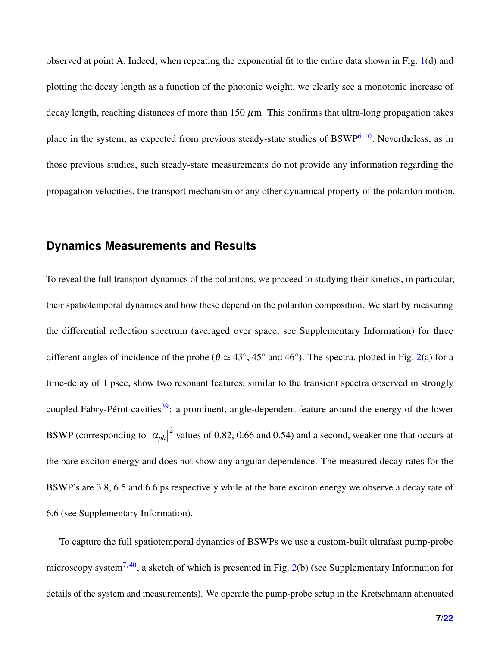observed at point A. Indeed, when repeating the exponential fit to the entire data shown in Fig. [1\(](#page-5-0)d) and plotting the decay length as a function of the photonic weight, we clearly see a monotonic increase of decay length, reaching distances of more than 150  $\mu$ m. This confirms that ultra-long propagation takes place in the system, as expected from previous steady-state studies of  $BSWP^{6, 10}$  $BSWP^{6, 10}$  $BSWP^{6, 10}$  $BSWP^{6, 10}$  $BSWP^{6, 10}$ . Nevertheless, as in those previous studies, such steady-state measurements do not provide any information regarding the propagation velocities, the transport mechanism or any other dynamical property of the polariton motion.

## **Dynamics Measurements and Results**

To reveal the full transport dynamics of the polaritons, we proceed to studying their kinetics, in particular, their spatiotemporal dynamics and how these depend on the polariton composition. We start by measuring the differential reflection spectrum (averaged over space, see Supplementary Information) for three different angles of incidence of the probe ( $\theta \simeq 43^\circ$ , 45 $^\circ$  and 46 $^\circ$ ). The spectra, plotted in Fig. [2\(](#page-7-0)a) for a time-delay of 1 psec, show two resonant features, similar to the transient spectra observed in strongly coupled Fabry-Pérot cavities<sup>[39](#page-21-2)</sup>: a prominent, angle-dependent feature around the energy of the lower BSWP (corresponding to  $|\alpha_{ph}|$ <sup>2</sup> values of 0.82, 0.66 and 0.54) and a second, weaker one that occurs at the bare exciton energy and does not show any angular dependence. The measured decay rates for the BSWP's are 3.8, 6.5 and 6.6 ps respectively while at the bare exciton energy we observe a decay rate of 6.6 (see Supplementary Information).

To capture the full spatiotemporal dynamics of BSWPs we use a custom-built ultrafast pump-probe microscopy system<sup>[7,](#page-17-7) [40](#page-21-3)</sup>, a sketch of which is presented in Fig. [2\(](#page-7-0)b) (see Supplementary Information for details of the system and measurements). We operate the pump-probe setup in the Kretschmann attenuated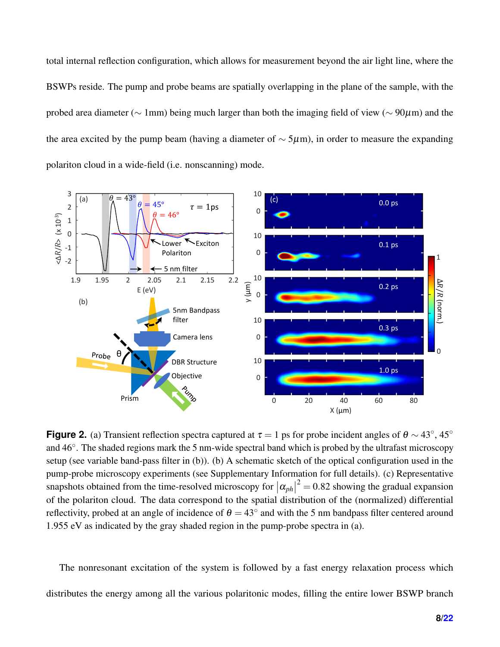total internal reflection configuration, which allows for measurement beyond the air light line, where the BSWPs reside. The pump and probe beams are spatially overlapping in the plane of the sample, with the probed area diameter (∼ 1mm) being much larger than both the imaging field of view (∼ 90µm) and the the area excited by the pump beam (having a diameter of  $\sim$  5µm), in order to measure the expanding polariton cloud in a wide-field (i.e. nonscanning) mode.

<span id="page-7-0"></span>

**Figure 2.** (a) Transient reflection spectra captured at  $\tau = 1$  ps for probe incident angles of  $\theta \sim 43^\circ$ , 45° and 46°. The shaded regions mark the 5 nm-wide spectral band which is probed by the ultrafast microscopy setup (see variable band-pass filter in (b)). (b) A schematic sketch of the optical configuration used in the pump-probe microscopy experiments (see Supplementary Information for full details). (c) Representative snapshots obtained from the time-resolved microscopy for  $|\alpha_{ph}|^2 = 0.82$  showing the gradual expansion of the polariton cloud. The data correspond to the spatial distribution of the (normalized) differential reflectivity, probed at an angle of incidence of  $\theta = 43^\circ$  and with the 5 nm bandpass filter centered around 1.955 eV as indicated by the gray shaded region in the pump-probe spectra in (a).

The nonresonant excitation of the system is followed by a fast energy relaxation process which distributes the energy among all the various polaritonic modes, filling the entire lower BSWP branch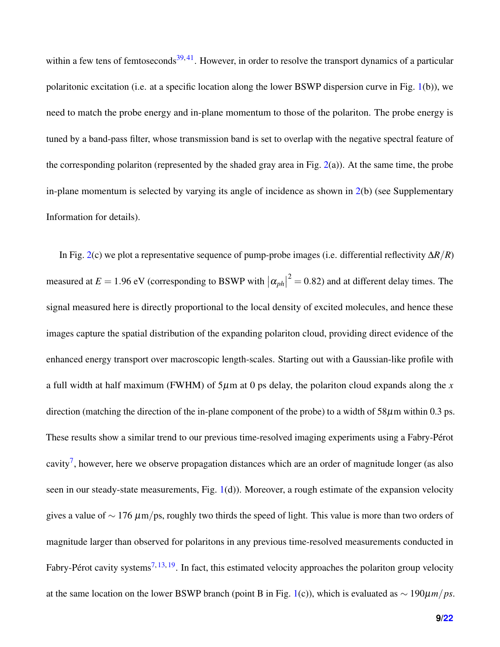within a few tens of femtoseconds<sup>[39,](#page-21-2) [41](#page-21-4)</sup>. However, in order to resolve the transport dynamics of a particular polaritonic excitation (i.e. at a specific location along the lower BSWP dispersion curve in Fig. [1\(](#page-5-0)b)), we need to match the probe energy and in-plane momentum to those of the polariton. The probe energy is tuned by a band-pass filter, whose transmission band is set to overlap with the negative spectral feature of the corresponding polariton (represented by the shaded gray area in Fig.  $2(a)$  $2(a)$ ). At the same time, the probe in-plane momentum is selected by varying its angle of incidence as shown in [2\(](#page-7-0)b) (see Supplementary Information for details).

In Fig. [2\(](#page-7-0)c) we plot a representative sequence of pump-probe images (i.e. differential reflectivity ∆*R*/*R*) measured at  $E = 1.96$  eV (corresponding to BSWP with  $|\alpha_{ph}|^2 = 0.82$ ) and at different delay times. The signal measured here is directly proportional to the local density of excited molecules, and hence these images capture the spatial distribution of the expanding polariton cloud, providing direct evidence of the enhanced energy transport over macroscopic length-scales. Starting out with a Gaussian-like profile with a full width at half maximum (FWHM) of  $5\mu$ m at 0 ps delay, the polariton cloud expands along the *x* direction (matching the direction of the in-plane component of the probe) to a width of  $58\mu$ m within 0.3 ps. These results show a similar trend to our previous time-resolved imaging experiments using a Fabry-Pérot cavity<sup>[7](#page-17-7)</sup>, however, here we observe propagation distances which are an order of magnitude longer (as also seen in our steady-state measurements, Fig. [1\(](#page-5-0)d)). Moreover, a rough estimate of the expansion velocity gives a value of  $\sim 176 \ \mu m / ps$ , roughly two thirds the speed of light. This value is more than two orders of magnitude larger than observed for polaritons in any previous time-resolved measurements conducted in Fabry-Pérot cavity systems<sup>[7,](#page-17-7) [13,](#page-18-0) [19](#page-19-0)</sup>. In fact, this estimated velocity approaches the polariton group velocity at the same location on the lower BSWP branch (point B in Fig. [1\(](#page-5-0)c)), which is evaluated as ∼ 190µ*m*/*ps*.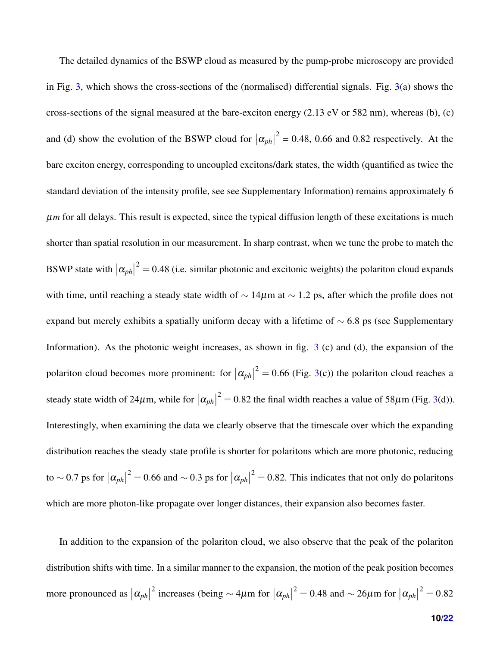The detailed dynamics of the BSWP cloud as measured by the pump-probe microscopy are provided in Fig. [3,](#page-10-0) which shows the cross-sections of the (normalised) differential signals. Fig.  $3(a)$  $3(a)$  shows the cross-sections of the signal measured at the bare-exciton energy  $(2.13 \text{ eV} \text{ or } 582 \text{ nm})$ , whereas (b), (c) and (d) show the evolution of the BSWP cloud for  $|\alpha_{ph}|$  $2<sup>2</sup> = 0.48$ , 0.66 and 0.82 respectively. At the bare exciton energy, corresponding to uncoupled excitons/dark states, the width (quantified as twice the standard deviation of the intensity profile, see see Supplementary Information) remains approximately 6 µ*m* for all delays. This result is expected, since the typical diffusion length of these excitations is much shorter than spatial resolution in our measurement. In sharp contrast, when we tune the probe to match the BSWP state with  $|\alpha_{ph}|^2 = 0.48$  (i.e. similar photonic and excitonic weights) the polariton cloud expands with time, until reaching a steady state width of  $\sim 14 \mu m$  at  $\sim 1.2$  ps, after which the profile does not expand but merely exhibits a spatially uniform decay with a lifetime of  $\sim$  6.8 ps (see Supplementary Information). As the photonic weight increases, as shown in fig.  $3$  (c) and (d), the expansion of the polariton cloud becomes more prominent: for  $|\alpha_{ph}|^2 = 0.66$  (Fig. [3\(](#page-10-0)c)) the polariton cloud reaches a steady state width of 24 $\mu$ m, while for  $|\alpha_{ph}|^2 = 0.82$  the final width reaches a value of 58 $\mu$ m (Fig. [3\(](#page-10-0)d)). Interestingly, when examining the data we clearly observe that the timescale over which the expanding distribution reaches the steady state profile is shorter for polaritons which are more photonic, reducing to ~0.7 ps for  $|\alpha_{ph}|^2 = 0.66$  and ~0.3 ps for  $|\alpha_{ph}|^2 = 0.82$ . This indicates that not only do polaritons which are more photon-like propagate over longer distances, their expansion also becomes faster.

In addition to the expansion of the polariton cloud, we also observe that the peak of the polariton distribution shifts with time. In a similar manner to the expansion, the motion of the peak position becomes more pronounced as  $|\alpha_{ph}|$ <sup>2</sup> increases (being ∼ 4μm for  $|\alpha_{ph}|^2 = 0.48$  and ~ 26μm for  $|\alpha_{ph}|^2 = 0.82$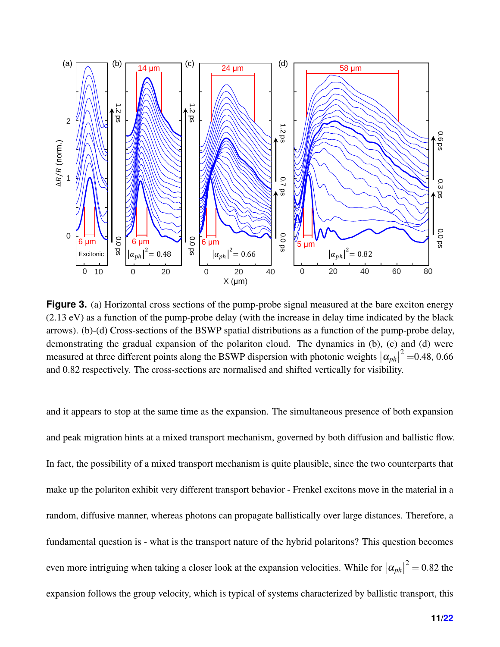<span id="page-10-0"></span>

**Figure 3.** (a) Horizontal cross sections of the pump-probe signal measured at the bare exciton energy (2.13 eV) as a function of the pump-probe delay (with the increase in delay time indicated by the black arrows). (b)-(d) Cross-sections of the BSWP spatial distributions as a function of the pump-probe delay, demonstrating the gradual expansion of the polariton cloud. The dynamics in (b), (c) and (d) were measured at three different points along the BSWP dispersion with photonic weights  $|\alpha_{ph}|^2 = 0.48, 0.66$ and 0.82 respectively. The cross-sections are normalised and shifted vertically for visibility.

and it appears to stop at the same time as the expansion. The simultaneous presence of both expansion and peak migration hints at a mixed transport mechanism, governed by both diffusion and ballistic flow. In fact, the possibility of a mixed transport mechanism is quite plausible, since the two counterparts that make up the polariton exhibit very different transport behavior - Frenkel excitons move in the material in a random, diffusive manner, whereas photons can propagate ballistically over large distances. Therefore, a fundamental question is - what is the transport nature of the hybrid polaritons? This question becomes even more intriguing when taking a closer look at the expansion velocities. While for  $|\alpha_{ph}|^2 = 0.82$  the expansion follows the group velocity, which is typical of systems characterized by ballistic transport, this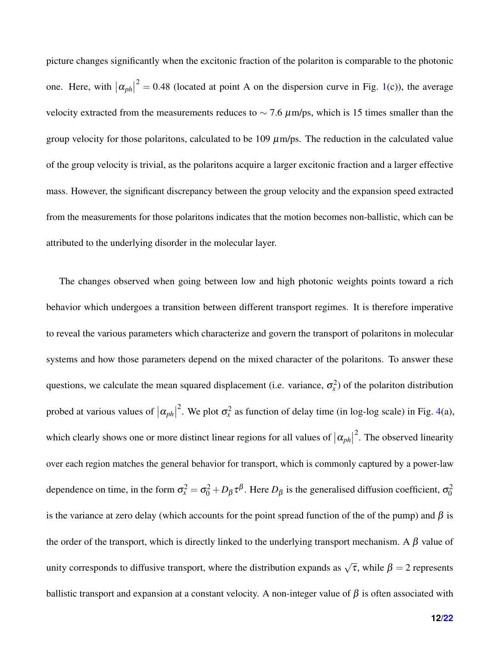picture changes significantly when the excitonic fraction of the polariton is comparable to the photonic one. Here, with  $|\alpha_{ph}|^2 = 0.48$  (located at point A on the dispersion curve in Fig. [1\(](#page-5-0)c)), the average velocity extracted from the measurements reduces to  $\sim$  7.6  $\mu$ m/ps, which is 15 times smaller than the group velocity for those polaritons, calculated to be  $109 \mu m / ps$ . The reduction in the calculated value of the group velocity is trivial, as the polaritons acquire a larger excitonic fraction and a larger effective mass. However, the significant discrepancy between the group velocity and the expansion speed extracted from the measurements for those polaritons indicates that the motion becomes non-ballistic, which can be attributed to the underlying disorder in the molecular layer.

The changes observed when going between low and high photonic weights points toward a rich behavior which undergoes a transition between different transport regimes. It is therefore imperative to reveal the various parameters which characterize and govern the transport of polaritons in molecular systems and how those parameters depend on the mixed character of the polaritons. To answer these questions, we calculate the mean squared displacement (i.e. variance,  $\sigma_x^2$ ) of the polariton distribution probed at various values of  $|\alpha_{ph}|$ <sup>2</sup>. We plot  $\sigma_x^2$  as function of delay time (in log-log scale) in Fig. [4\(](#page-13-0)a), which clearly shows one or more distinct linear regions for all values of  $|\alpha_{ph}|$  $2$ . The observed linearity over each region matches the general behavior for transport, which is commonly captured by a power-law dependence on time, in the form  $\sigma_x^2 = \sigma_0^2 + D_\beta \tau^\beta$ . Here  $D_\beta$  is the generalised diffusion coefficient,  $\sigma_0^2$ is the variance at zero delay (which accounts for the point spread function of the of the pump) and  $\beta$  is the order of the transport, which is directly linked to the underlying transport mechanism. A  $\beta$  value of unity corresponds to diffusive transport, where the distribution expands as  $\sqrt{\tau}$ , while  $\beta = 2$  represents ballistic transport and expansion at a constant velocity. A non-integer value of  $\beta$  is often associated with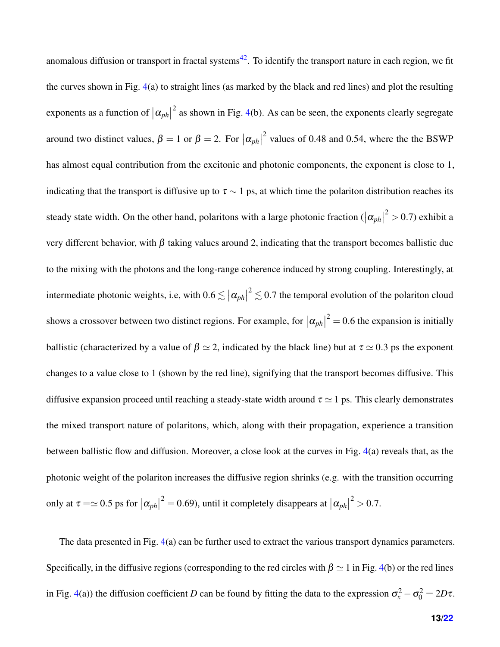anomalous diffusion or transport in fractal systems<sup>[42](#page-21-5)</sup>. To identify the transport nature in each region, we fit the curves shown in Fig. [4\(](#page-13-0)a) to straight lines (as marked by the black and red lines) and plot the resulting exponents as a function of  $|\alpha_{ph}|$  $2^{2}$  as shown in Fig. [4\(](#page-13-0)b). As can be seen, the exponents clearly segregate around two distinct values,  $\beta = 1$  or  $\beta = 2$ . For  $|\alpha_{ph}|$  $^{2}$  values of 0.48 and 0.54, where the the BSWP has almost equal contribution from the excitonic and photonic components, the exponent is close to 1, indicating that the transport is diffusive up to  $\tau \sim 1$  ps, at which time the polariton distribution reaches its steady state width. On the other hand, polaritons with a large photonic fraction  $(|\alpha_{ph}|)$  $2^{2}$  > 0.7) exhibit a very different behavior, with β taking values around 2, indicating that the transport becomes ballistic due to the mixing with the photons and the long-range coherence induced by strong coupling. Interestingly, at intermediate photonic weights, i.e, with  $0.6 \lesssim |\alpha_{ph}|^2 \lesssim 0.7$  the temporal evolution of the polariton cloud shows a crossover between two distinct regions. For example, for  $|\alpha_{ph}|^2 = 0.6$  the expansion is initially ballistic (characterized by a value of  $\beta \simeq 2$ , indicated by the black line) but at  $\tau \simeq 0.3$  ps the exponent changes to a value close to 1 (shown by the red line), signifying that the transport becomes diffusive. This diffusive expansion proceed until reaching a steady-state width around  $\tau \simeq 1$  ps. This clearly demonstrates the mixed transport nature of polaritons, which, along with their propagation, experience a transition between ballistic flow and diffusion. Moreover, a close look at the curves in Fig. [4\(](#page-13-0)a) reveals that, as the photonic weight of the polariton increases the diffusive region shrinks (e.g. with the transition occurring only at  $\tau = \simeq 0.5$  ps for  $|\alpha_{ph}|^2 = 0.69$ ), until it completely disappears at  $|\alpha_{ph}|$  $2^{2} > 0.7$ .

The data presented in Fig. [4\(](#page-13-0)a) can be further used to extract the various transport dynamics parameters. Specifically, in the diffusive regions (corresponding to the red circles with  $\beta \simeq 1$  in Fig. [4\(](#page-13-0)b) or the red lines in Fig. [4\(](#page-13-0)a)) the diffusion coefficient *D* can be found by fitting the data to the expression  $\sigma_x^2 - \sigma_0^2 = 2D\tau$ .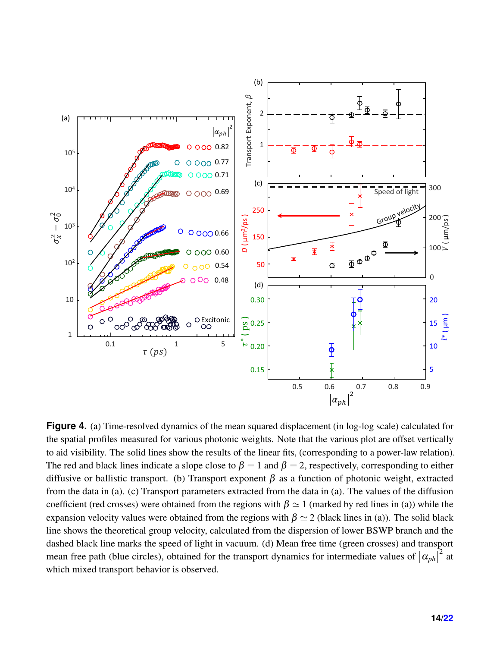<span id="page-13-0"></span>

**Figure 4.** (a) Time-resolved dynamics of the mean squared displacement (in log-log scale) calculated for the spatial profiles measured for various photonic weights. Note that the various plot are offset vertically to aid visibility. The solid lines show the results of the linear fits, (corresponding to a power-law relation). The red and black lines indicate a slope close to  $\beta = 1$  and  $\beta = 2$ , respectively, corresponding to either diffusive or ballistic transport. (b) Transport exponent  $\beta$  as a function of photonic weight, extracted from the data in (a). (c) Transport parameters extracted from the data in (a). The values of the diffusion coefficient (red crosses) were obtained from the regions with  $\beta \simeq 1$  (marked by red lines in (a)) while the expansion velocity values were obtained from the regions with  $\beta \simeq 2$  (black lines in (a)). The solid black line shows the theoretical group velocity, calculated from the dispersion of lower BSWP branch and the dashed black line marks the speed of light in vacuum. (d) Mean free time (green crosses) and transport mean free path (blue circles), obtained for the transport dynamics for intermediate values of  $|\alpha_{ph}|$  $^{2}$  at which mixed transport behavior is observed.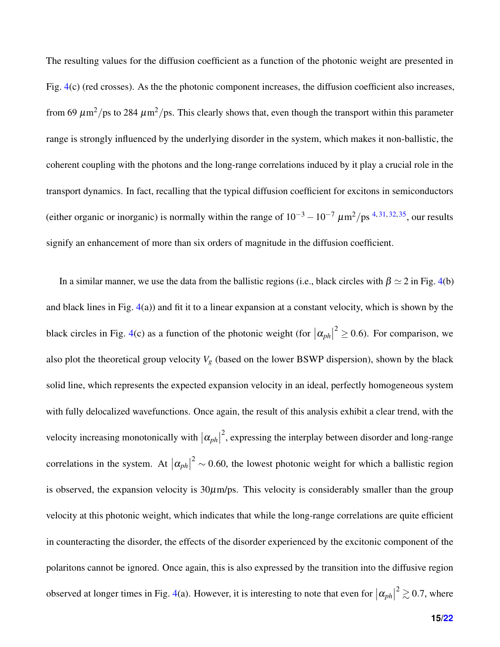The resulting values for the diffusion coefficient as a function of the photonic weight are presented in Fig. [4\(](#page-13-0)c) (red crosses). As the the photonic component increases, the diffusion coefficient also increases, from 69  $\mu$ m<sup>2</sup>/ps to 284  $\mu$ m<sup>2</sup>/ps. This clearly shows that, even though the transport within this parameter range is strongly influenced by the underlying disorder in the system, which makes it non-ballistic, the coherent coupling with the photons and the long-range correlations induced by it play a crucial role in the transport dynamics. In fact, recalling that the typical diffusion coefficient for excitons in semiconductors (either organic or inorganic) is normally within the range of  $10^{-3} - 10^{-7} \mu m^2 / ps^{4,31,32,35}$  $10^{-3} - 10^{-7} \mu m^2 / ps^{4,31,32,35}$  $10^{-3} - 10^{-7} \mu m^2 / ps^{4,31,32,35}$  $10^{-3} - 10^{-7} \mu m^2 / ps^{4,31,32,35}$  $10^{-3} - 10^{-7} \mu m^2 / ps^{4,31,32,35}$  $10^{-3} - 10^{-7} \mu m^2 / ps^{4,31,32,35}$ , our results signify an enhancement of more than six orders of magnitude in the diffusion coefficient.

In a similar manner, we use the data from the ballistic regions (i.e., black circles with  $\beta \simeq 2$  in Fig. [4\(](#page-13-0)b) and black lines in Fig. [4\(](#page-13-0)a)) and fit it to a linear expansion at a constant velocity, which is shown by the black circles in Fig. [4\(](#page-13-0)c) as a function of the photonic weight (for  $|\alpha_{ph}|^2 \ge 0.6$ ). For comparison, we also plot the theoretical group velocity  $V_g$  (based on the lower BSWP dispersion), shown by the black solid line, which represents the expected expansion velocity in an ideal, perfectly homogeneous system with fully delocalized wavefunctions. Once again, the result of this analysis exhibit a clear trend, with the velocity increasing monotonically with  $|\alpha_{ph}|$  $2$ , expressing the interplay between disorder and long-range correlations in the system. At  $|\alpha_{ph}|^2 \sim 0.60$ , the lowest photonic weight for which a ballistic region is observed, the expansion velocity is  $30\mu$ m/ps. This velocity is considerably smaller than the group velocity at this photonic weight, which indicates that while the long-range correlations are quite efficient in counteracting the disorder, the effects of the disorder experienced by the excitonic component of the polaritons cannot be ignored. Once again, this is also expressed by the transition into the diffusive region observed at longer times in Fig. [4\(](#page-13-0)a). However, it is interesting to note that even for  $|\alpha_{ph}|^2 \gtrsim 0.7$ , where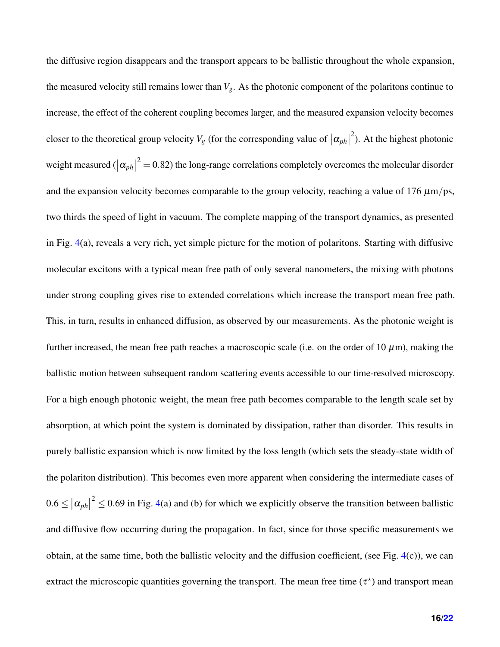the diffusive region disappears and the transport appears to be ballistic throughout the whole expansion, the measured velocity still remains lower than *Vg*. As the photonic component of the polaritons continue to increase, the effect of the coherent coupling becomes larger, and the measured expansion velocity becomes closer to the theoretical group velocity  $V_g$  (for the corresponding value of  $|\alpha_{ph}|$  $^{2}$ ). At the highest photonic weight measured ( $|\alpha_{ph}|^2 = 0.82$ ) the long-range correlations completely overcomes the molecular disorder and the expansion velocity becomes comparable to the group velocity, reaching a value of 176  $\mu$ m/ps, two thirds the speed of light in vacuum. The complete mapping of the transport dynamics, as presented in Fig. [4\(](#page-13-0)a), reveals a very rich, yet simple picture for the motion of polaritons. Starting with diffusive molecular excitons with a typical mean free path of only several nanometers, the mixing with photons under strong coupling gives rise to extended correlations which increase the transport mean free path. This, in turn, results in enhanced diffusion, as observed by our measurements. As the photonic weight is further increased, the mean free path reaches a macroscopic scale (i.e. on the order of  $10 \mu m$ ), making the ballistic motion between subsequent random scattering events accessible to our time-resolved microscopy. For a high enough photonic weight, the mean free path becomes comparable to the length scale set by absorption, at which point the system is dominated by dissipation, rather than disorder. This results in purely ballistic expansion which is now limited by the loss length (which sets the steady-state width of the polariton distribution). This becomes even more apparent when considering the intermediate cases of  $0.6 \leq |\alpha_{ph}|^2 \leq 0.69$  in Fig. [4\(](#page-13-0)a) and (b) for which we explicitly observe the transition between ballistic and diffusive flow occurring during the propagation. In fact, since for those specific measurements we obtain, at the same time, both the ballistic velocity and the diffusion coefficient, (see Fig. [4\(](#page-13-0)c)), we can extract the microscopic quantities governing the transport. The mean free time  $(\tau^*)$  and transport mean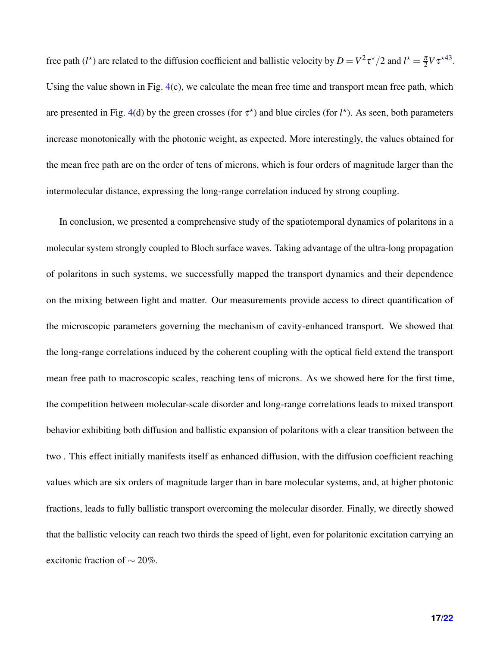free path  $(l^*)$  are related to the diffusion coefficient and ballistic velocity by  $D = V^2 \tau^*/2$  and  $l^* = \frac{\pi}{2}$  $\frac{\pi}{2}V\tau^{\star 43}$  $\frac{\pi}{2}V\tau^{\star 43}$  $\frac{\pi}{2}V\tau^{\star 43}$ . Using the value shown in Fig. [4\(](#page-13-0)c), we calculate the mean free time and transport mean free path, which are presented in Fig. [4\(](#page-13-0)d) by the green crosses (for  $\tau^*$ ) and blue circles (for  $l^*$ ). As seen, both parameters increase monotonically with the photonic weight, as expected. More interestingly, the values obtained for the mean free path are on the order of tens of microns, which is four orders of magnitude larger than the intermolecular distance, expressing the long-range correlation induced by strong coupling.

In conclusion, we presented a comprehensive study of the spatiotemporal dynamics of polaritons in a molecular system strongly coupled to Bloch surface waves. Taking advantage of the ultra-long propagation of polaritons in such systems, we successfully mapped the transport dynamics and their dependence on the mixing between light and matter. Our measurements provide access to direct quantification of the microscopic parameters governing the mechanism of cavity-enhanced transport. We showed that the long-range correlations induced by the coherent coupling with the optical field extend the transport mean free path to macroscopic scales, reaching tens of microns. As we showed here for the first time, the competition between molecular-scale disorder and long-range correlations leads to mixed transport behavior exhibiting both diffusion and ballistic expansion of polaritons with a clear transition between the two . This effect initially manifests itself as enhanced diffusion, with the diffusion coefficient reaching values which are six orders of magnitude larger than in bare molecular systems, and, at higher photonic fractions, leads to fully ballistic transport overcoming the molecular disorder. Finally, we directly showed that the ballistic velocity can reach two thirds the speed of light, even for polaritonic excitation carrying an excitonic fraction of  $\sim$  20%.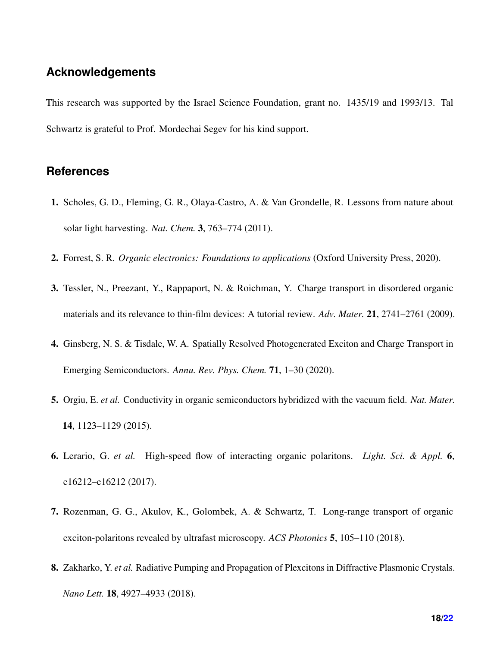#### **Acknowledgements**

This research was supported by the Israel Science Foundation, grant no. 1435/19 and 1993/13. Tal Schwartz is grateful to Prof. Mordechai Segev for his kind support.

#### **References**

- <span id="page-17-0"></span>1. Scholes, G. D., Fleming, G. R., Olaya-Castro, A. & Van Grondelle, R. Lessons from nature about solar light harvesting. *Nat. Chem.* 3, 763–774 (2011).
- <span id="page-17-2"></span><span id="page-17-1"></span>2. Forrest, S. R. *Organic electronics: Foundations to applications* (Oxford University Press, 2020).
- 3. Tessler, N., Preezant, Y., Rappaport, N. & Roichman, Y. Charge transport in disordered organic materials and its relevance to thin-film devices: A tutorial review. *Adv. Mater.* 21, 2741–2761 (2009).
- <span id="page-17-3"></span>4. Ginsberg, N. S. & Tisdale, W. A. Spatially Resolved Photogenerated Exciton and Charge Transport in Emerging Semiconductors. *Annu. Rev. Phys. Chem.* 71, 1–30 (2020).
- <span id="page-17-4"></span>5. Orgiu, E. *et al.* Conductivity in organic semiconductors hybridized with the vacuum field. *Nat. Mater.* 14, 1123–1129 (2015).
- <span id="page-17-5"></span>6. Lerario, G. *et al.* High-speed flow of interacting organic polaritons. *Light. Sci. & Appl.* 6, e16212–e16212 (2017).
- <span id="page-17-7"></span>7. Rozenman, G. G., Akulov, K., Golombek, A. & Schwartz, T. Long-range transport of organic exciton-polaritons revealed by ultrafast microscopy. *ACS Photonics* 5, 105–110 (2018).
- <span id="page-17-6"></span>8. Zakharko, Y. *et al.* Radiative Pumping and Propagation of Plexcitons in Diffractive Plasmonic Crystals. *Nano Lett.* 18, 4927–4933 (2018).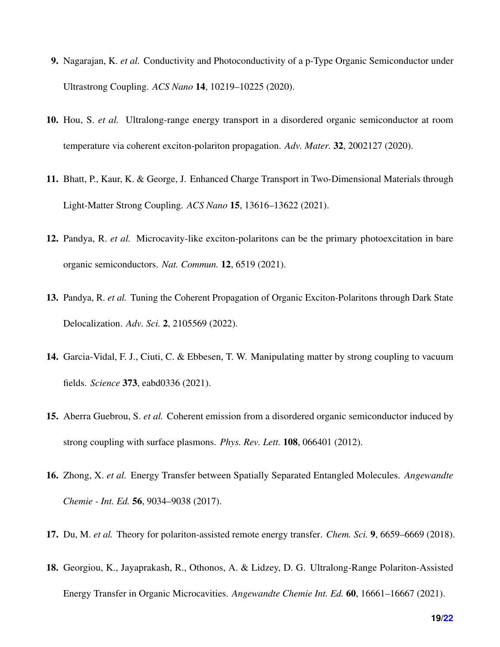- 9. Nagarajan, K. *et al.* Conductivity and Photoconductivity of a p-Type Organic Semiconductor under Ultrastrong Coupling. *ACS Nano* 14, 10219–10225 (2020).
- <span id="page-18-5"></span>10. Hou, S. *et al.* Ultralong-range energy transport in a disordered organic semiconductor at room temperature via coherent exciton-polariton propagation. *Adv. Mater.* 32, 2002127 (2020).
- 11. Bhatt, P., Kaur, K. & George, J. Enhanced Charge Transport in Two-Dimensional Materials through Light-Matter Strong Coupling. *ACS Nano* 15, 13616–13622 (2021).
- 12. Pandya, R. *et al.* Microcavity-like exciton-polaritons can be the primary photoexcitation in bare organic semiconductors. *Nat. Commun.* 12, 6519 (2021).
- <span id="page-18-0"></span>13. Pandya, R. *et al.* Tuning the Coherent Propagation of Organic Exciton-Polaritons through Dark State Delocalization. *Adv. Sci.* 2, 2105569 (2022).
- <span id="page-18-1"></span>14. Garcia-Vidal, F. J., Ciuti, C. & Ebbesen, T. W. Manipulating matter by strong coupling to vacuum fields. *Science* 373, eabd0336 (2021).
- <span id="page-18-2"></span>15. Aberra Guebrou, S. *et al.* Coherent emission from a disordered organic semiconductor induced by strong coupling with surface plasmons. *Phys. Rev. Lett.* 108, 066401 (2012).
- <span id="page-18-3"></span>16. Zhong, X. *et al.* Energy Transfer between Spatially Separated Entangled Molecules. *Angewandte Chemie - Int. Ed.* 56, 9034–9038 (2017).
- <span id="page-18-4"></span>17. Du, M. *et al.* Theory for polariton-assisted remote energy transfer. *Chem. Sci.* 9, 6659–6669 (2018).
- 18. Georgiou, K., Jayaprakash, R., Othonos, A. & Lidzey, D. G. Ultralong-Range Polariton-Assisted Energy Transfer in Organic Microcavities. *Angewandte Chemie Int. Ed.* 60, 16661–16667 (2021).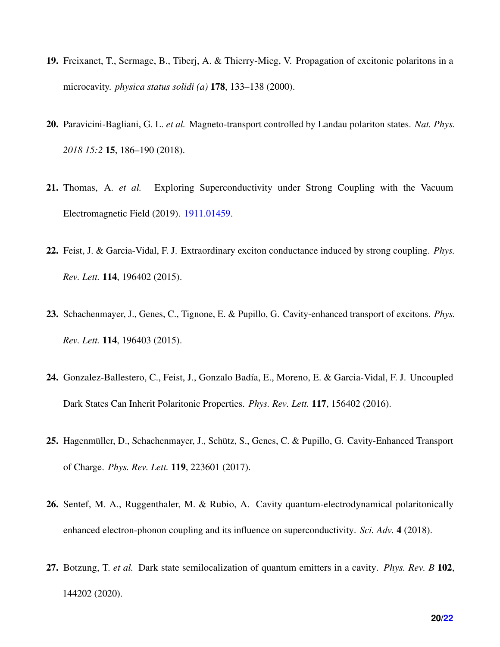- <span id="page-19-0"></span>19. Freixanet, T., Sermage, B., Tiberj, A. & Thierry-Mieg, V. Propagation of excitonic polaritons in a microcavity. *physica status solidi (a)* 178, 133–138 (2000).
- 20. Paravicini-Bagliani, G. L. *et al.* Magneto-transport controlled by Landau polariton states. *Nat. Phys. 2018 15:2* 15, 186–190 (2018).
- <span id="page-19-1"></span>21. Thomas, A. *et al.* Exploring Superconductivity under Strong Coupling with the Vacuum Electromagnetic Field (2019). [1911.01459.](1911.01459)
- <span id="page-19-2"></span>22. Feist, J. & Garcia-Vidal, F. J. Extraordinary exciton conductance induced by strong coupling. *Phys. Rev. Lett.* 114, 196402 (2015).
- 23. Schachenmayer, J., Genes, C., Tignone, E. & Pupillo, G. Cavity-enhanced transport of excitons. *Phys. Rev. Lett.* 114, 196403 (2015).
- 24. Gonzalez-Ballestero, C., Feist, J., Gonzalo Badía, E., Moreno, E. & Garcia-Vidal, F. J. Uncoupled Dark States Can Inherit Polaritonic Properties. *Phys. Rev. Lett.* 117, 156402 (2016).
- 25. Hagenmüller, D., Schachenmayer, J., Schütz, S., Genes, C. & Pupillo, G. Cavity-Enhanced Transport of Charge. *Phys. Rev. Lett.* 119, 223601 (2017).
- 26. Sentef, M. A., Ruggenthaler, M. & Rubio, A. Cavity quantum-electrodynamical polaritonically enhanced electron-phonon coupling and its influence on superconductivity. *Sci. Adv.* 4 (2018).
- 27. Botzung, T. *et al.* Dark state semilocalization of quantum emitters in a cavity. *Phys. Rev. B* 102, 144202 (2020).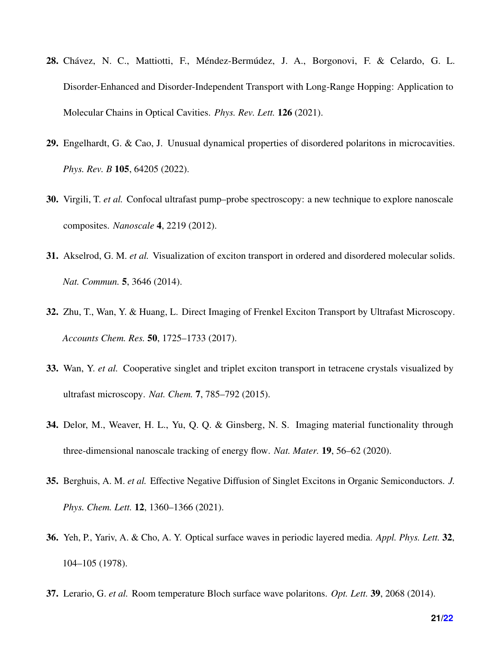- 28. Chávez, N. C., Mattiotti, F., Méndez-Bermúdez, J. A., Borgonovi, F. & Celardo, G. L. Disorder-Enhanced and Disorder-Independent Transport with Long-Range Hopping: Application to Molecular Chains in Optical Cavities. *Phys. Rev. Lett.* 126 (2021).
- <span id="page-20-0"></span>29. Engelhardt, G. & Cao, J. Unusual dynamical properties of disordered polaritons in microcavities. *Phys. Rev. B* 105, 64205 (2022).
- <span id="page-20-1"></span>30. Virgili, T. *et al.* Confocal ultrafast pump–probe spectroscopy: a new technique to explore nanoscale composites. *Nanoscale* 4, 2219 (2012).
- <span id="page-20-5"></span>31. Akselrod, G. M. *et al.* Visualization of exciton transport in ordered and disordered molecular solids. *Nat. Commun.* 5, 3646 (2014).
- <span id="page-20-6"></span>32. Zhu, T., Wan, Y. & Huang, L. Direct Imaging of Frenkel Exciton Transport by Ultrafast Microscopy. *Accounts Chem. Res.* 50, 1725–1733 (2017).
- 33. Wan, Y. *et al.* Cooperative singlet and triplet exciton transport in tetracene crystals visualized by ultrafast microscopy. *Nat. Chem.* 7, 785–792 (2015).
- 34. Delor, M., Weaver, H. L., Yu, Q. Q. & Ginsberg, N. S. Imaging material functionality through three-dimensional nanoscale tracking of energy flow. *Nat. Mater.* 19, 56–62 (2020).
- <span id="page-20-2"></span>35. Berghuis, A. M. *et al.* Effective Negative Diffusion of Singlet Excitons in Organic Semiconductors. *J. Phys. Chem. Lett.* 12, 1360–1366 (2021).
- <span id="page-20-3"></span>36. Yeh, P., Yariv, A. & Cho, A. Y. Optical surface waves in periodic layered media. *Appl. Phys. Lett.* 32, 104–105 (1978).
- <span id="page-20-4"></span>37. Lerario, G. *et al.* Room temperature Bloch surface wave polaritons. *Opt. Lett.* 39, 2068 (2014).